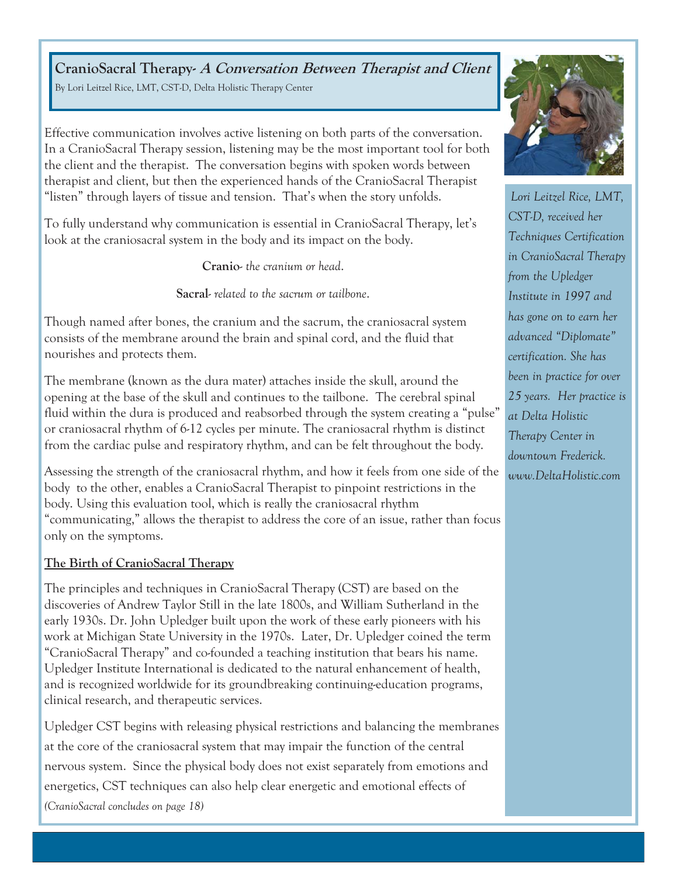**CranioSacral Therapy- A Conversation Between Therapist and Client**  By Lori Leitzel Rice, LMT, CST-D, Delta Holistic Therapy Center

Effective communication involves active listening on both parts of the conversation. In a CranioSacral Therapy session, listening may be the most important tool for both the client and the therapist. The conversation begins with spoken words between therapist and client, but then the experienced hands of the CranioSacral Therapist "listen" through layers of tissue and tension. That's when the story unfolds.

To fully understand why communication is essential in CranioSacral Therapy, let's look at the craniosacral system in the body and its impact on the body.

**Cranio**- *the cranium or head*.

**Sacral**- *related to the sacrum or tailbone*.

Though named after bones, the cranium and the sacrum, the craniosacral system consists of the membrane around the brain and spinal cord, and the fluid that nourishes and protects them.

The membrane (known as the dura mater) attaches inside the skull, around the opening at the base of the skull and continues to the tailbone. The cerebral spinal fluid within the dura is produced and reabsorbed through the system creating a "pulse" or craniosacral rhythm of 6-12 cycles per minute. The craniosacral rhythm is distinct from the cardiac pulse and respiratory rhythm, and can be felt throughout the body.

Assessing the strength of the craniosacral rhythm, and how it feels from one side of the body to the other, enables a CranioSacral Therapist to pinpoint restrictions in the body. Using this evaluation tool, which is really the craniosacral rhythm "communicating," allows the therapist to address the core of an issue, rather than focus only on the symptoms.

## **The Birth of CranioSacral Therapy**

The principles and techniques in CranioSacral Therapy (CST) are based on the discoveries of Andrew Taylor Still in the late 1800s, and William Sutherland in the early 1930s. Dr. John Upledger built upon the work of these early pioneers with his work at Michigan State University in the 1970s. Later, Dr. Upledger coined the term "CranioSacral Therapy" and co-founded a teaching institution that bears his name. Upledger Institute International is dedicated to the natural enhancement of health, and is recognized worldwide for its groundbreaking continuing-education programs, clinical research, and therapeutic services.

Upledger CST begins with releasing physical restrictions and balancing the membranes at the core of the craniosacral system that may impair the function of the central nervous system. Since the physical body does not exist separately from emotions and energetics, CST techniques can also help clear energetic and emotional effects of *(CranioSacral concludes on page 18)*



*Lori Leitzel Rice, LMT, CST-D, received her Techniques Certification in CranioSacral Therapy from the Upledger Institute in 1997 and has gone on to earn her advanced "Diplomate" certification. She has been in practice for over 25 years. Her practice is at Delta Holistic Therapy Center in downtown Frederick. www.DeltaHolistic.com*